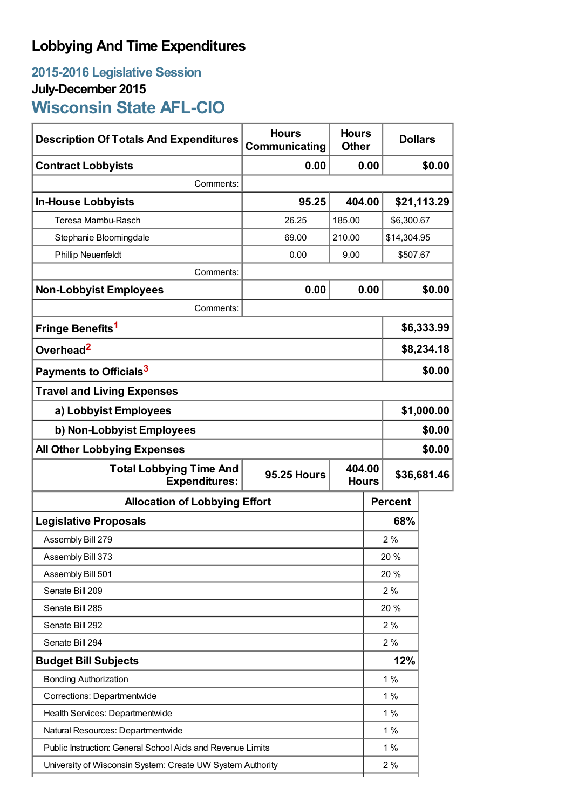# **Lobbying And Time Expenditures**

# **2015-2016 Legislative Session July-December 2015 Wisconsin State AFL-CIO**

| <b>Description Of Totals And Expenditures</b>              | <b>Hours</b><br>Communicating | <b>Hours</b><br><b>Dollars</b><br><b>Other</b> |                                       |                |             |
|------------------------------------------------------------|-------------------------------|------------------------------------------------|---------------------------------------|----------------|-------------|
| <b>Contract Lobbyists</b>                                  | 0.00                          |                                                | 0.00                                  |                | \$0.00      |
| Comments:                                                  |                               |                                                |                                       |                |             |
| <b>In-House Lobbyists</b>                                  | 95.25                         | 404.00                                         |                                       |                | \$21,113.29 |
| Teresa Mambu-Rasch                                         | 26.25                         | 185.00                                         | \$6,300.67                            |                |             |
| Stephanie Bloomingdale                                     | 69.00                         | 210.00                                         |                                       | \$14,304.95    |             |
| <b>Phillip Neuenfeldt</b>                                  | 0.00                          | 9.00<br>\$507.67                               |                                       |                |             |
| Comments:                                                  |                               |                                                |                                       |                |             |
| <b>Non-Lobbyist Employees</b>                              | 0.00                          | 0.00                                           |                                       |                | \$0.00      |
| Comments:                                                  |                               |                                                |                                       |                |             |
| Fringe Benefits <sup>1</sup>                               |                               |                                                | \$6,333.99                            |                |             |
| Overhead <sup>2</sup>                                      |                               |                                                |                                       | \$8,234.18     |             |
| Payments to Officials <sup>3</sup>                         |                               |                                                |                                       | \$0.00         |             |
| <b>Travel and Living Expenses</b>                          |                               |                                                |                                       |                |             |
| a) Lobbyist Employees                                      |                               |                                                |                                       | \$1,000.00     |             |
| b) Non-Lobbyist Employees                                  |                               |                                                |                                       | \$0.00         |             |
| <b>All Other Lobbying Expenses</b>                         |                               |                                                |                                       | \$0.00         |             |
| <b>Total Lobbying Time And</b><br><b>Expenditures:</b>     | <b>95.25 Hours</b>            |                                                | 404.00<br>\$36,681.46<br><b>Hours</b> |                |             |
| <b>Allocation of Lobbying Effort</b>                       |                               |                                                |                                       | <b>Percent</b> |             |
| <b>Legislative Proposals</b>                               |                               |                                                | 68%                                   |                |             |
| Assembly Bill 279                                          |                               |                                                | 2%                                    |                |             |
| Assembly Bill 373                                          |                               |                                                | 20%                                   |                |             |
| Assembly Bill 501                                          |                               |                                                | 20 %                                  |                |             |
| Senate Bill 209                                            |                               |                                                | 2%                                    |                |             |
| Senate Bill 285                                            |                               |                                                | 20 %                                  |                |             |
| Senate Bill 292                                            |                               |                                                | 2%                                    |                |             |
| Senate Bill 294                                            |                               |                                                | 2%                                    |                |             |
| <b>Budget Bill Subjects</b>                                |                               |                                                | 12%                                   |                |             |
| <b>Bonding Authorization</b>                               |                               |                                                | 1%                                    |                |             |
| Corrections: Departmentwide                                |                               |                                                | 1%                                    |                |             |
| Health Services: Departmentwide                            |                               |                                                | 1%                                    |                |             |
| Natural Resources: Departmentwide                          |                               |                                                |                                       | 1%             |             |
| Public Instruction: General School Aids and Revenue Limits |                               |                                                |                                       | 1%             |             |
| University of Wisconsin System: Create UW System Authority |                               |                                                |                                       | 2%             |             |